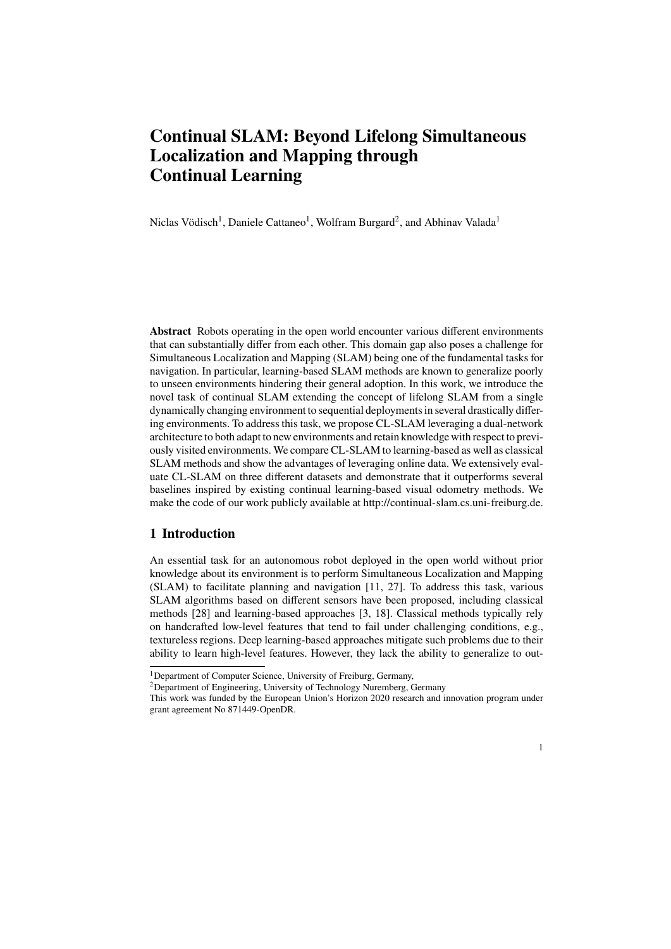# **Continual SLAM: Beyond Lifelong Simultaneous Localization and Mapping through Continual Learning**

Niclas Vödisch<sup>1</sup>, Daniele Cattaneo<sup>1</sup>, Wolfram Burgard<sup>2</sup>, and Abhinav Valada<sup>1</sup>

**Abstract** Robots operating in the open world encounter various different environments that can substantially differ from each other. This domain gap also poses a challenge for Simultaneous Localization and Mapping (SLAM) being one of the fundamental tasks for navigation. In particular, learning-based SLAM methods are known to generalize poorly to unseen environments hindering their general adoption. In this work, we introduce the novel task of continual SLAM extending the concept of lifelong SLAM from a single dynamically changing environment to sequential deployments in several drastically differing environments. To address this task, we propose CL-SLAM leveraging a dual-network architecture to both adapt to new environments and retain knowledge with respect to previously visited environments. We compare CL-SLAM to learning-based as well as classical SLAM methods and show the advantages of leveraging online data. We extensively evaluate CL-SLAM on three different datasets and demonstrate that it outperforms several baselines inspired by existing continual learning-based visual odometry methods. We make the code of our work publicly available at http://continual-slam.cs.uni-freiburg.de.

## <span id="page-0-0"></span>**1 Introduction**

An essential task for an autonomous robot deployed in the open world without prior knowledge about its environment is to perform Simultaneous Localization and Mapping (SLAM) to facilitate planning and navigation [\[11,](#page-15-0) [27\]](#page-15-1). To address this task, various SLAM algorithms based on different sensors have been proposed, including classical methods [\[28\]](#page-15-2) and learning-based approaches [\[3,](#page-14-0) [18\]](#page-15-3). Classical methods typically rely on handcrafted low-level features that tend to fail under challenging conditions, e.g., textureless regions. Deep learning-based approaches mitigate such problems due to their ability to learn high-level features. However, they lack the ability to generalize to out-

<sup>&</sup>lt;sup>1</sup>Department of Computer Science, University of Freiburg, Germany,

<sup>&</sup>lt;sup>2</sup>Department of Engineering, University of Technology Nuremberg, Germany

This work was funded by the European Union's Horizon 2020 research and innovation program under grant agreement No 871449-OpenDR.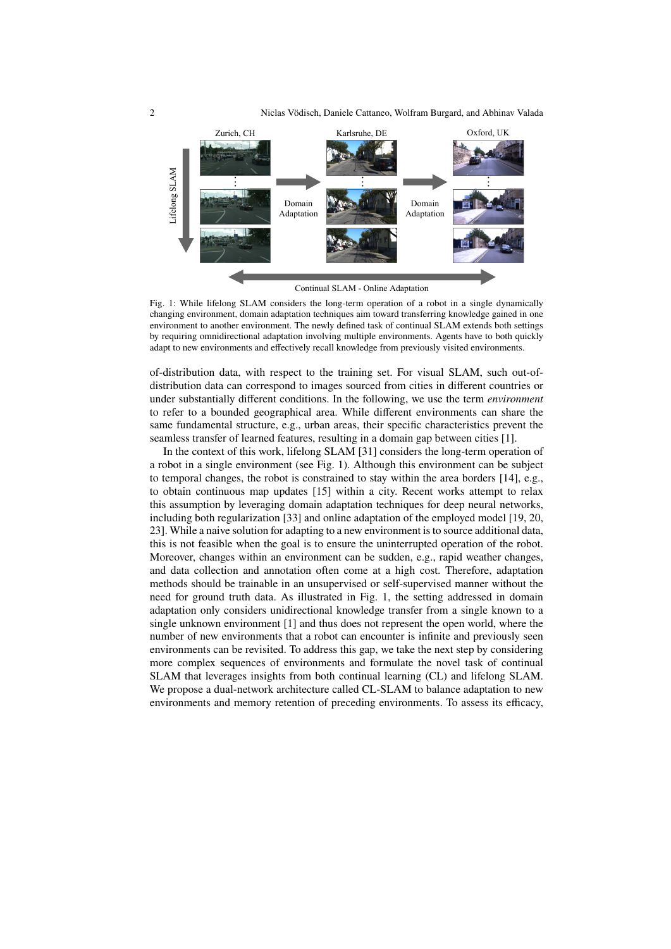2 Niclas Vödisch, Daniele Cattaneo, Wolfram Burgard, and Abhinav Valada



<span id="page-1-0"></span>Fig. 1; While lifelong SLAM considers the long-term operation of a robot in a single dynamically changing environment, domain adaptation techniques aim toward transferring knowledge gained in one environment to another environment. The newly defined task of continual SLAM extends both settings by requiring omnidirectional adaptation involving multiple environments. Agents have to both quickly adapt to new environments and effectively recall knowledge from previously visited environments.

of-distribution data, with respect to the training set. For visual SLAM, such out-ofdistribution data can correspond to images sourced from cities in different countries or under substantially different conditions. In the following, we use the term *environment* to refer to a bounded geographical area. While different environments can share the same fundamental structure, e.g., urban areas, their specific characteristics prevent the seamless transfer of learned features, resulting in a domain gap between cities [\[1\]](#page-14-1).

In the context of this work, lifelong SLAM [\[31\]](#page-15-4) considers the long-term operation of a robot in a single environment (see Fig. [1\)](#page-1-0). Although this environment can be subject to temporal changes, the robot is constrained to stay within the area borders [\[14\]](#page-15-5), e.g., to obtain continuous map updates [\[15\]](#page-15-6) within a city. Recent works attempt to relax this assumption by leveraging domain adaptation techniques for deep neural networks, including both regularization [\[33\]](#page-15-7) and online adaptation of the employed model [\[19,](#page-15-8) [20,](#page-15-9) [23\]](#page-15-10). While a naive solution for adapting to a new environment is to source additional data, this is not feasible when the goal is to ensure the uninterrupted operation of the robot. Moreover, changes within an environment can be sudden, e.g., rapid weather changes, and data collection and annotation often come at a high cost. Therefore, adaptation methods should be trainable in an unsupervised or self-supervised manner without the need for ground truth data. As illustrated in Fig. [1,](#page-1-0) the setting addressed in domain adaptation only considers unidirectional knowledge transfer from a single known to a single unknown environment [\[1\]](#page-14-1) and thus does not represent the open world, where the number of new environments that a robot can encounter is infinite and previously seen environments can be revisited. To address this gap, we take the next step by considering more complex sequences of environments and formulate the novel task of continual SLAM that leverages insights from both continual learning (CL) and lifelong SLAM. We propose a dual-network architecture called CL-SLAM to balance adaptation to new environments and memory retention of preceding environments. To assess its efficacy,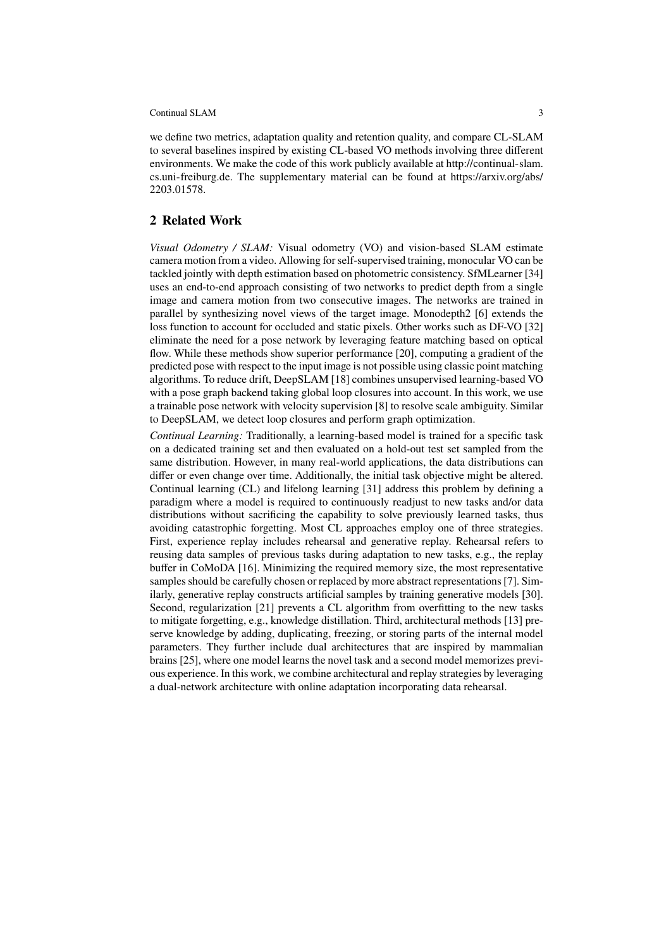we define two metrics, adaptation quality and retention quality, and compare CL-SLAM to several baselines inspired by existing CL-based VO methods involving three different environments. We make the code of this work publicly available at http://continual-slam. [cs.uni-freiburg.de.](http://continual-slam.cs.uni-freiburg.de) The supplementary material can be found at https://arxiv.org/abs/ [2203.01578.](https://arxiv.org/abs/2203.01578)

## **2 Related Work**

*Visual Odometry / SLAM:* Visual odometry (VO) and vision-based SLAM estimate camera motion from a video. Allowing for self-supervised training, monocular VO can be tackled jointly with depth estimation based on photometric consistency. SfMLearner [\[34\]](#page-15-11) uses an end-to-end approach consisting of two networks to predict depth from a single image and camera motion from two consecutive images. The networks are trained in parallel by synthesizing novel views of the target image. Monodepth2 [\[6\]](#page-14-2) extends the loss function to account for occluded and static pixels. Other works such as DF-VO [\[32\]](#page-15-12) eliminate the need for a pose network by leveraging feature matching based on optical flow. While these methods show superior performance [\[20\]](#page-15-9), computing a gradient of the predicted pose with respect to the input image is not possible using classic point matching algorithms. To reduce drift, DeepSLAM [\[18\]](#page-15-3) combines unsupervised learning-based VO with a pose graph backend taking global loop closures into account. In this work, we use a trainable pose network with velocity supervision [\[8\]](#page-15-13) to resolve scale ambiguity. Similar to DeepSLAM, we detect loop closures and perform graph optimization.

*Continual Learning:* Traditionally, a learning-based model is trained for a specific task on a dedicated training set and then evaluated on a hold-out test set sampled from the same distribution. However, in many real-world applications, the data distributions can differ or even change over time. Additionally, the initial task objective might be altered. Continual learning (CL) and lifelong learning [\[31\]](#page-15-4) address this problem by defining a paradigm where a model is required to continuously readjust to new tasks and/or data distributions without sacrificing the capability to solve previously learned tasks, thus avoiding catastrophic forgetting. Most CL approaches employ one of three strategies. First, experience replay includes rehearsal and generative replay. Rehearsal refers to reusing data samples of previous tasks during adaptation to new tasks, e.g., the replay buffer in CoMoDA [\[16\]](#page-15-14). Minimizing the required memory size, the most representative samples should be carefully chosen or replaced by more abstract representations [\[7\]](#page-14-3). Similarly, generative replay constructs artificial samples by training generative models [\[30\]](#page-15-15). Second, regularization [\[21\]](#page-15-16) prevents a CL algorithm from overfitting to the new tasks to mitigate forgetting, e.g., knowledge distillation. Third, architectural methods [\[13\]](#page-15-17) preserve knowledge by adding, duplicating, freezing, or storing parts of the internal model parameters. They further include dual architectures that are inspired by mammalian brains [\[25\]](#page-15-18), where one model learns the novel task and a second model memorizes previous experience. In this work, we combine architectural and replay strategies by leveraging a dual-network architecture with online adaptation incorporating data rehearsal.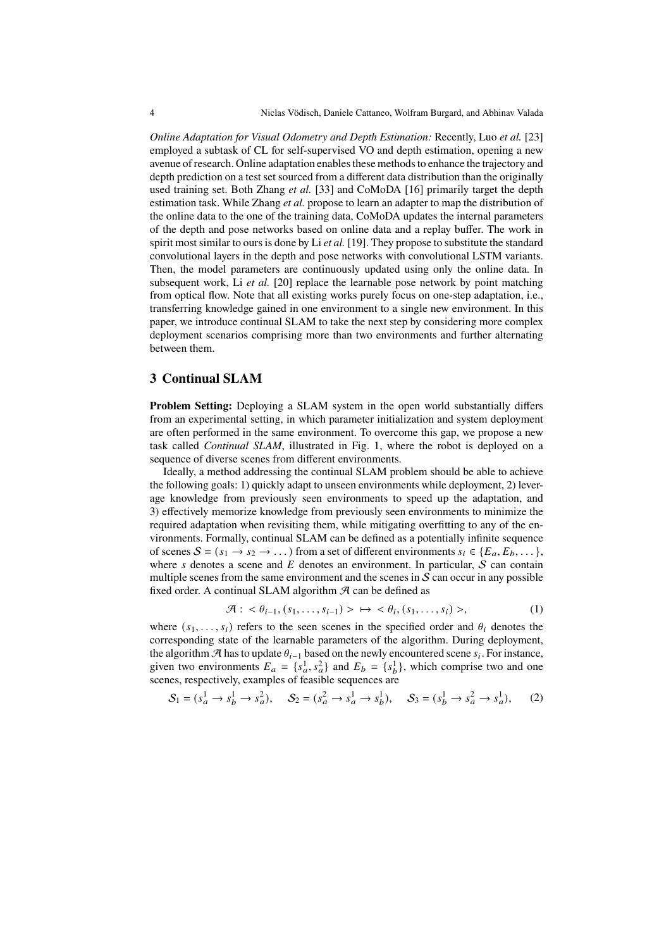*Online Adaptation for Visual Odometry and Depth Estimation:* Recently, Luo *et al.* [\[23\]](#page-15-10) employed a subtask of CL for self-supervised VO and depth estimation, opening a new avenue of research. Online adaptation enables these methods to enhance the trajectory and depth prediction on a test set sourced from a different data distribution than the originally used training set. Both Zhang *et al.* [\[33\]](#page-15-7) and CoMoDA [\[16\]](#page-15-14) primarily target the depth estimation task. While Zhang *et al.* propose to learn an adapter to map the distribution of the online data to the one of the training data, CoMoDA updates the internal parameters of the depth and pose networks based on online data and a replay buffer. The work in spirit most similar to ours is done by Li *et al.* [\[19\]](#page-15-8). They propose to substitute the standard convolutional layers in the depth and pose networks with convolutional LSTM variants. Then, the model parameters are continuously updated using only the online data. In subsequent work, Li *et al.* [\[20\]](#page-15-9) replace the learnable pose network by point matching from optical flow. Note that all existing works purely focus on one-step adaptation, i.e., transferring knowledge gained in one environment to a single new environment. In this paper, we introduce continual SLAM to take the next step by considering more complex deployment scenarios comprising more than two environments and further alternating between them.

## <span id="page-3-0"></span>**3 Continual SLAM**

**Problem Setting:** Deploying a SLAM system in the open world substantially differs from an experimental setting, in which parameter initialization and system deployment are often performed in the same environment. To overcome this gap, we propose a new task called *Continual SLAM*, illustrated in Fig. [1,](#page-1-0) where the robot is deployed on a sequence of diverse scenes from different environments.

Ideally, a method addressing the continual SLAM problem should be able to achieve the following goals: 1) quickly adapt to unseen environments while deployment, 2) leverage knowledge from previously seen environments to speed up the adaptation, and 3) effectively memorize knowledge from previously seen environments to minimize the required adaptation when revisiting them, while mitigating overfitting to any of the environments. Formally, continual SLAM can be defined as a potentially infinite sequence of scenes  $S = (s_1 \rightarrow s_2 \rightarrow \dots)$  from a set of different environments  $s_i \in \{E_a, E_b, \dots\}$ , where  $s$  denotes a scene and  $E$  denotes an environment. In particular,  $S$  can contain multiple scenes from the same environment and the scenes in  $S$  can occur in any possible fixed order. A continual SLAM algorithm  $\mathcal A$  can be defined as

$$
\mathcal{A}: \langle \theta_{i-1}, (s_1, \ldots, s_{i-1}) \rangle \rightarrow \langle \theta_i, (s_1, \ldots, s_i) \rangle,
$$
\n
$$
(1)
$$

where  $(s_1, \ldots, s_i)$  refers to the seen scenes in the specified order and  $\theta_i$  denotes the corresponding state of the learnable parameters of the algorithm. During deployment, the algorithm  $\mathcal{A}$  has to update  $\theta_{i-1}$  based on the newly encountered scene  $s_i$ . For instance, given two environments  $E_a = \{s_a^1, s_a^2\}$  and  $E_b = \{s_b^1\}$  $\{^{1}_{b}\}$ , which comprise two and one scenes, respectively, examples of feasible sequences are

<span id="page-3-1"></span>
$$
S_1 = (s_a^1 \to s_b^1 \to s_a^2), \quad S_2 = (s_a^2 \to s_a^1 \to s_b^1), \quad S_3 = (s_b^1 \to s_a^2 \to s_a^1), \tag{2}
$$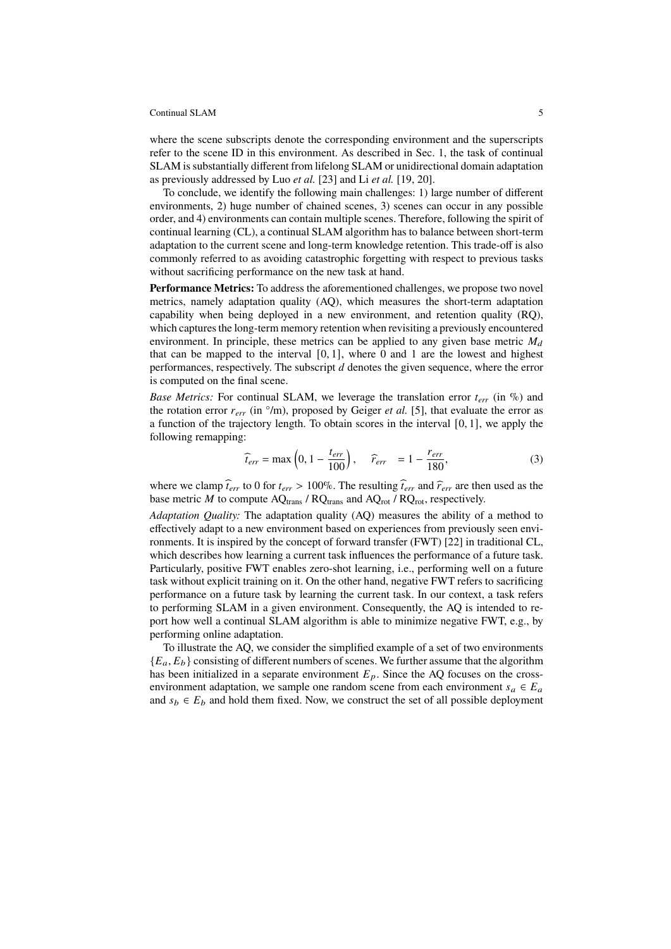where the scene subscripts denote the corresponding environment and the superscripts refer to the scene ID in this environment. As described in Sec. [1,](#page-0-0) the task of continual SLAM is substantially different from lifelong SLAM or unidirectional domain adaptation as previously addressed by Luo *et al.* [\[23\]](#page-15-10) and Li *et al.* [\[19,](#page-15-8) [20\]](#page-15-9).

To conclude, we identify the following main challenges: 1) large number of different environments, 2) huge number of chained scenes, 3) scenes can occur in any possible order, and 4) environments can contain multiple scenes. Therefore, following the spirit of continual learning (CL), a continual SLAM algorithm has to balance between short-term adaptation to the current scene and long-term knowledge retention. This trade-off is also commonly referred to as avoiding catastrophic forgetting with respect to previous tasks without sacrificing performance on the new task at hand.

**Performance Metrics:** To address the aforementioned challenges, we propose two novel metrics, namely adaptation quality (AQ), which measures the short-term adaptation capability when being deployed in a new environment, and retention quality (RQ), which captures the long-term memory retention when revisiting a previously encountered environment. In principle, these metrics can be applied to any given base metric  $M_d$ that can be mapped to the interval  $[0, 1]$ , where 0 and 1 are the lowest and highest performances, respectively. The subscript  $d$  denotes the given sequence, where the error is computed on the final scene.

*Base Metrics:* For continual SLAM, we leverage the translation error  $t_{err}$  (in %) and the rotation error  $r_{err}$  (in  $\degree/m$ ), proposed by Geiger *et al.* [\[5\]](#page-14-4), that evaluate the error as a function of the trajectory length. To obtain scores in the interval [0, 1], we apply the following remapping:

<span id="page-4-0"></span>
$$
\widehat{t}_{err} = \max\left(0, 1 - \frac{t_{err}}{100}\right), \quad \widehat{r}_{err} = 1 - \frac{r_{err}}{180},\tag{3}
$$

where we clamp  $\hat{t}_{err}$  to 0 for  $t_{err} > 100\%$ . The resulting  $\hat{t}_{err}$  and  $\hat{t}_{err}$  are then used as the base metric  $M$  to compute AQ<sub>trans</sub> / RQ<sub>trans</sub> and AQ<sub>rot</sub> / RQ<sub>rot</sub>, respectively.

*Adaptation Quality:* The adaptation quality (AQ) measures the ability of a method to effectively adapt to a new environment based on experiences from previously seen environments. It is inspired by the concept of forward transfer (FWT) [\[22\]](#page-15-19) in traditional CL, which describes how learning a current task influences the performance of a future task. Particularly, positive FWT enables zero-shot learning, i.e., performing well on a future task without explicit training on it. On the other hand, negative FWT refers to sacrificing performance on a future task by learning the current task. In our context, a task refers to performing SLAM in a given environment. Consequently, the AQ is intended to report how well a continual SLAM algorithm is able to minimize negative FWT, e.g., by performing online adaptation.

To illustrate the AQ, we consider the simplified example of a set of two environments  ${E_a, E_b}$  consisting of different numbers of scenes. We further assume that the algorithm has been initialized in a separate environment  $E_p$ . Since the AQ focuses on the crossenvironment adaptation, we sample one random scene from each environment  $s_a \in E_a$ and  $s_b \in E_b$  and hold them fixed. Now, we construct the set of all possible deployment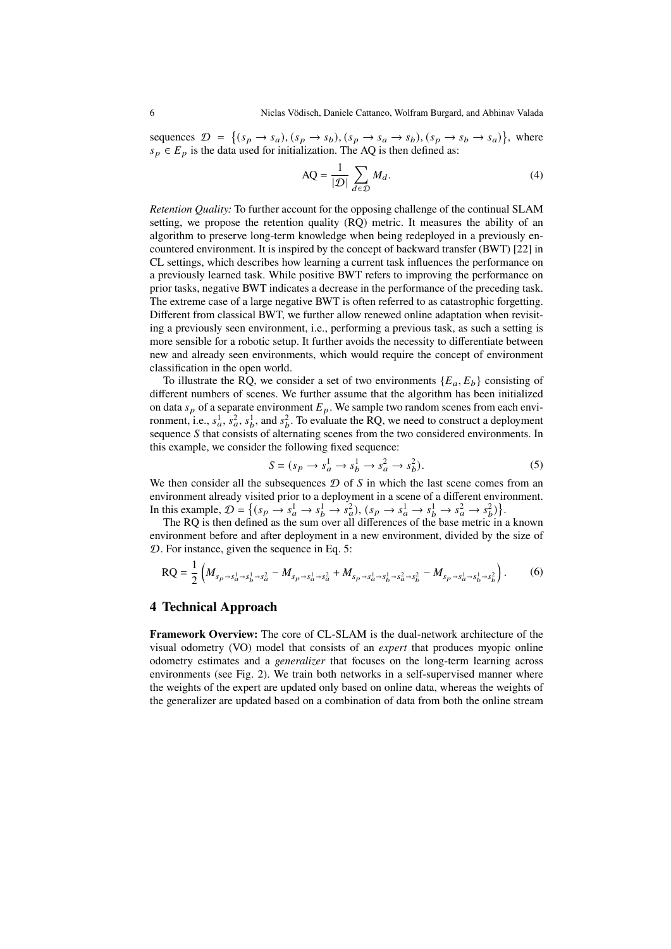sequences  $\mathcal{D} = \{(s_p \rightarrow s_a), (s_p \rightarrow s_b), (s_p \rightarrow s_a \rightarrow s_b), (s_p \rightarrow s_b \rightarrow s_a)\}\$ , where  $s_p \in E_p$  is the data used for initialization. The AQ is then defined as:

$$
AQ = \frac{1}{|\mathcal{D}|} \sum_{d \in \mathcal{D}} M_d.
$$
 (4)

*Retention Quality:* To further account for the opposing challenge of the continual SLAM setting, we propose the retention quality (RQ) metric. It measures the ability of an algorithm to preserve long-term knowledge when being redeployed in a previously encountered environment. It is inspired by the concept of backward transfer (BWT) [\[22\]](#page-15-19) in CL settings, which describes how learning a current task influences the performance on a previously learned task. While positive BWT refers to improving the performance on prior tasks, negative BWT indicates a decrease in the performance of the preceding task. The extreme case of a large negative BWT is often referred to as catastrophic forgetting. Different from classical BWT, we further allow renewed online adaptation when revisiting a previously seen environment, i.e., performing a previous task, as such a setting is more sensible for a robotic setup. It further avoids the necessity to differentiate between new and already seen environments, which would require the concept of environment classification in the open world.

To illustrate the RQ, we consider a set of two environments  ${E_a, E_b}$  consisting of different numbers of scenes. We further assume that the algorithm has been initialized on data  $s_p$  of a separate environment  $E_p$ . We sample two random scenes from each environment, i.e.,  $s_a^1$ ,  $s_a^2$ ,  $s_b^1$  $\frac{1}{b}$ , and  $s_b^2$  $\frac{2}{b}$ . To evaluate the RQ, we need to construct a deployment sequence  $S$  that consists of alternating scenes from the two considered environments. In this example, we consider the following fixed sequence:

<span id="page-5-0"></span>
$$
S = (s_p \to s_a^1 \to s_b^1 \to s_a^2 \to s_b^2). \tag{5}
$$

We then consider all the subsequences  $\mathcal D$  of  $S$  in which the last scene comes from an environment already visited prior to a deployment in a scene of a different environment. In this example,  $\mathcal{D} = \left\{ (s_p \rightarrow s_a^1 \rightarrow s_b^1 \rightarrow s_a^2), (s_p \rightarrow s_a^1 \rightarrow s_b^1 \rightarrow s_a^2 \rightarrow s_b^2) \right\}$  $\begin{pmatrix} 2 \\ b \end{pmatrix}$ .

The RQ is then defined as the sum over all differences of the base metric in a known environment before and after deployment in a new environment, divided by the size of  $D$ . For instance, given the sequence in Eq. 5:

<span id="page-5-1"></span>
$$
RQ = \frac{1}{2} \left( M_{s_p \to s_a^1 \to s_b^1 \to s_a^2} - M_{s_p \to s_a^1 \to s_a^2} + M_{s_p \to s_a^1 \to s_b^1 \to s_a^2 \to s_b^2} - M_{s_p \to s_a^1 \to s_b^1 \to s_b^2} \right). \tag{6}
$$

## **4 Technical Approach**

**Framework Overview:** The core of CL-SLAM is the dual-network architecture of the visual odometry (VO) model that consists of an *expert* that produces myopic online odometry estimates and a *generalizer* that focuses on the long-term learning across environments (see Fig. [2\)](#page-6-0). We train both networks in a self-supervised manner where the weights of the expert are updated only based on online data, whereas the weights of the generalizer are updated based on a combination of data from both the online stream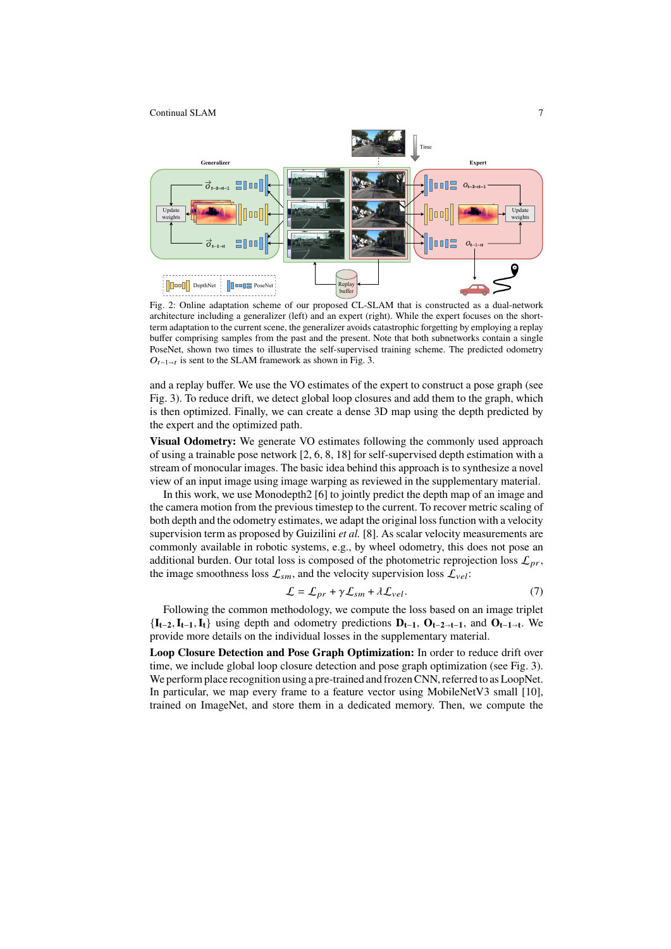

<span id="page-6-0"></span>Fig. 2: Online adaptation scheme of our proposed CL-SLAM that is constructed as a dual-network architecture including a generalizer (left) and an expert (right). While the expert focuses on the shortterm adaptation to the current scene, the generalizer avoids catastrophic forgetting by employing a replay buffer comprising samples from the past and the present. Note that both subnetworks contain a single PoseNet, shown two times to illustrate the self-supervised training scheme. The predicted odometry  $O_{t-1\rightarrow t}$  is sent to the SLAM framework as shown in Fig. [3.](#page-7-0)

and a replay buffer. We use the VO estimates of the expert to construct a pose graph (see Fig. [3\)](#page-7-0). To reduce drift, we detect global loop closures and add them to the graph, which is then optimized. Finally, we can create a dense 3D map using the depth predicted by the expert and the optimized path.

**Visual Odometry:** We generate VO estimates following the commonly used approach of using a trainable pose network [\[2,](#page-14-5) [6,](#page-14-2) [8,](#page-15-13) [18\]](#page-15-3) for self-supervised depth estimation with a stream of monocular images. The basic idea behind this approach is to synthesize a novel view of an input image using image warping as reviewed in the supplementary material.

In this work, we use Monodepth2 [\[6\]](#page-14-2) to jointly predict the depth map of an image and the camera motion from the previous timestep to the current. To recover metric scaling of both depth and the odometry estimates, we adapt the original loss function with a velocity supervision term as proposed by Guizilini *et al.* [\[8\]](#page-15-13). As scalar velocity measurements are commonly available in robotic systems, e.g., by wheel odometry, this does not pose an additional burden. Our total loss is composed of the photometric reprojection loss  $\mathcal{L}_{pr}$ , the image smoothness loss  $\mathcal{L}_{sm}$ , and the velocity supervision loss  $\mathcal{L}_{vel}$ :

<span id="page-6-1"></span>
$$
\mathcal{L} = \mathcal{L}_{pr} + \gamma \mathcal{L}_{sm} + \lambda \mathcal{L}_{vel}.
$$
 (7)

Following the common methodology, we compute the loss based on an image triplet  $\{I_{t-2}, I_{t-1}, I_t\}$  using depth and odometry predictions  $D_{t-1}, D_{t-2 \to t-1}$ , and  $D_{t-1 \to t}$ . We provide more details on the individual losses in the supplementary material.

**Loop Closure Detection and Pose Graph Optimization:** In order to reduce drift over time, we include global loop closure detection and pose graph optimization (see Fig. [3\)](#page-7-0). We perform place recognition using a pre-trained and frozen CNN, referred to as LoopNet. In particular, we map every frame to a feature vector using MobileNetV3 small [\[10\]](#page-15-20), trained on ImageNet, and store them in a dedicated memory. Then, we compute the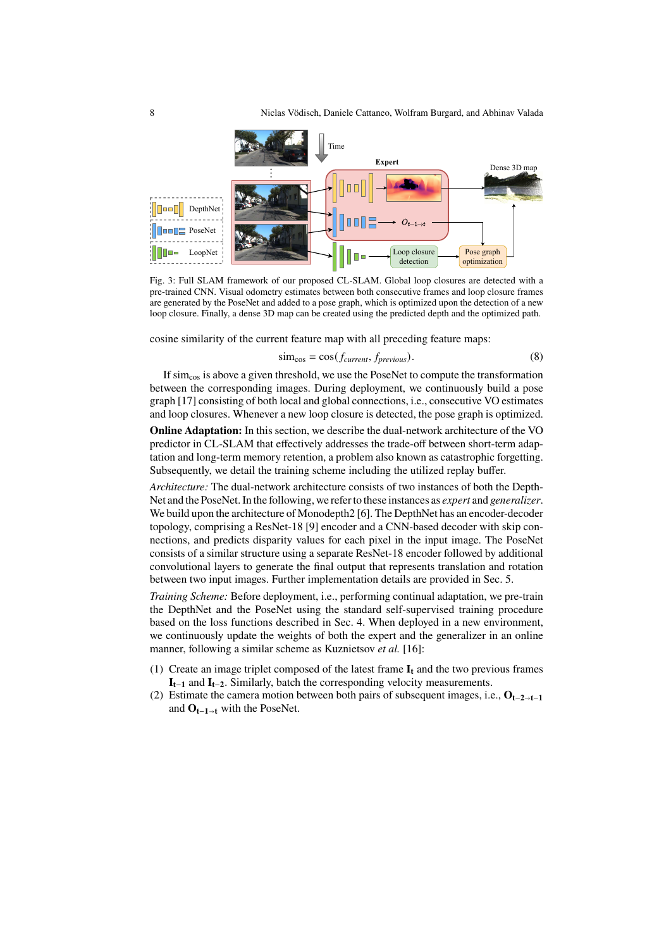

<span id="page-7-0"></span>Fig. 3: Full SLAM framework of our proposed CL-SLAM. Global loop closures are detected with a pre-trained CNN. Visual odometry estimates between both consecutive frames and loop closure frames are generated by the PoseNet and added to a pose graph, which is optimized upon the detection of a new loop closure. Finally, a dense 3D map can be created using the predicted depth and the optimized path.

cosine similarity of the current feature map with all preceding feature maps:

$$
\text{sim}_{\text{cos}} = \cos(f_{\text{current}}, f_{\text{previous}}). \tag{8}
$$

If simcos is above a given threshold, we use the PoseNet to compute the transformation between the corresponding images. During deployment, we continuously build a pose graph [\[17\]](#page-15-21) consisting of both local and global connections, i.e., consecutive VO estimates and loop closures. Whenever a new loop closure is detected, the pose graph is optimized.

**Online Adaptation:** In this section, we describe the dual-network architecture of the VO predictor in CL-SLAM that effectively addresses the trade-off between short-term adaptation and long-term memory retention, a problem also known as catastrophic forgetting. Subsequently, we detail the training scheme including the utilized replay buffer.

*Architecture:* The dual-network architecture consists of two instances of both the Depth-Net and the PoseNet. In the following, we refer to these instances as *expert* and *generalizer*. We build upon the architecture of Monodepth2 [\[6\]](#page-14-2). The DepthNet has an encoder-decoder topology, comprising a ResNet-18 [\[9\]](#page-15-22) encoder and a CNN-based decoder with skip connections, and predicts disparity values for each pixel in the input image. The PoseNet consists of a similar structure using a separate ResNet-18 encoder followed by additional convolutional layers to generate the final output that represents translation and rotation between two input images. Further implementation details are provided in Sec. [5.](#page-8-0)

*Training Scheme:* Before deployment, i.e., performing continual adaptation, we pre-train the DepthNet and the PoseNet using the standard self-supervised training procedure based on the loss functions described in Sec. [4.](#page-6-0) When deployed in a new environment, we continuously update the weights of both the expert and the generalizer in an online manner, following a similar scheme as Kuznietsov *et al.* [\[16\]](#page-15-14):

- (1) Create an image triplet composed of the latest frame **I<sup>t</sup>** and the two previous frames **It**−**<sup>1</sup>** and **It**−**2**. Similarly, batch the corresponding velocity measurements.
- (2) Estimate the camera motion between both pairs of subsequent images, i.e., **Ot**−**2t**−**<sup>1</sup>** and **Ot**−**1<sup>t</sup>** with the PoseNet.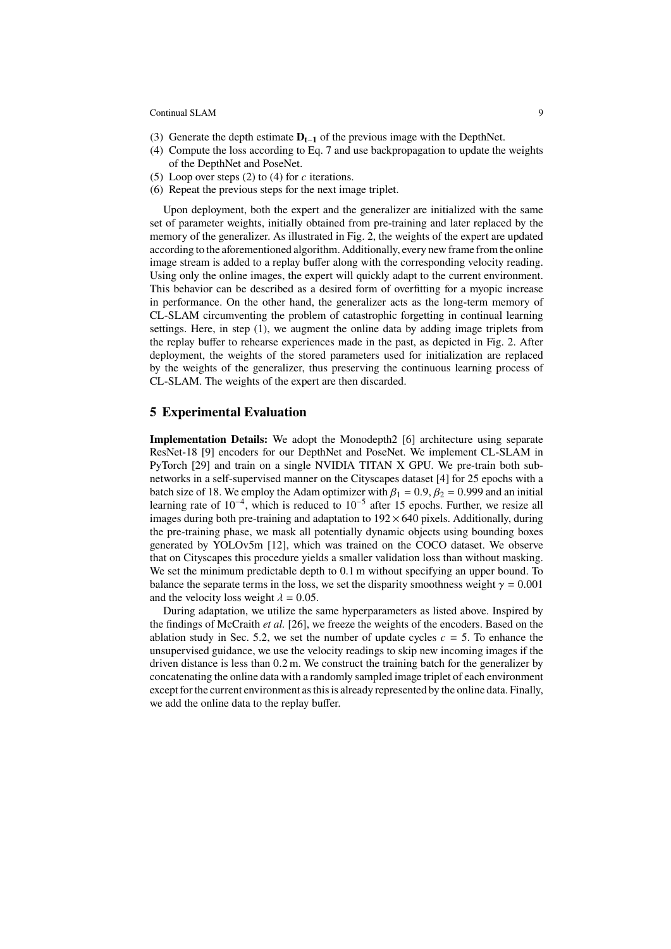- (3) Generate the depth estimate **Dt**−**<sup>1</sup>** of the previous image with the DepthNet.
- (4) Compute the loss according to Eq. [7](#page-6-1) and use backpropagation to update the weights of the DepthNet and PoseNet.
- (5) Loop over steps (2) to (4) for  $c$  iterations.
- (6) Repeat the previous steps for the next image triplet.

Upon deployment, both the expert and the generalizer are initialized with the same set of parameter weights, initially obtained from pre-training and later replaced by the memory of the generalizer. As illustrated in Fig. [2,](#page-6-0) the weights of the expert are updated according to the aforementioned algorithm. Additionally, every new frame from the online image stream is added to a replay buffer along with the corresponding velocity reading. Using only the online images, the expert will quickly adapt to the current environment. This behavior can be described as a desired form of overfitting for a myopic increase in performance. On the other hand, the generalizer acts as the long-term memory of CL-SLAM circumventing the problem of catastrophic forgetting in continual learning settings. Here, in step (1), we augment the online data by adding image triplets from the replay buffer to rehearse experiences made in the past, as depicted in Fig. [2.](#page-6-0) After deployment, the weights of the stored parameters used for initialization are replaced by the weights of the generalizer, thus preserving the continuous learning process of CL-SLAM. The weights of the expert are then discarded.

## <span id="page-8-0"></span>**5 Experimental Evaluation**

**Implementation Details:** We adopt the Monodepth2 [\[6\]](#page-14-2) architecture using separate ResNet-18 [\[9\]](#page-15-22) encoders for our DepthNet and PoseNet. We implement CL-SLAM in PyTorch [\[29\]](#page-15-23) and train on a single NVIDIA TITAN X GPU. We pre-train both subnetworks in a self-supervised manner on the Cityscapes dataset [\[4\]](#page-14-6) for 25 epochs with a batch size of 18. We employ the Adam optimizer with  $\beta_1 = 0.9$ ,  $\beta_2 = 0.999$  and an initial learning rate of 10<sup>-4</sup>, which is reduced to 10<sup>-5</sup> after 15 epochs. Further, we resize all images during both pre-training and adaptation to  $192 \times 640$  pixels. Additionally, during the pre-training phase, we mask all potentially dynamic objects using bounding boxes generated by YOLOv5m [\[12\]](#page-15-24), which was trained on the COCO dataset. We observe that on Cityscapes this procedure yields a smaller validation loss than without masking. We set the minimum predictable depth to  $0.1$  m without specifying an upper bound. To balance the separate terms in the loss, we set the disparity smoothness weight  $\gamma = 0.001$ and the velocity loss weight  $\lambda = 0.05$ .

During adaptation, we utilize the same hyperparameters as listed above. Inspired by the findings of McCraith *et al.* [\[26\]](#page-15-25), we freeze the weights of the encoders. Based on the ablation study in Sec. [5.2,](#page-13-0) we set the number of update cycles  $c = 5$ . To enhance the unsupervised guidance, we use the velocity readings to skip new incoming images if the driven distance is less than 0.2 m. We construct the training batch for the generalizer by concatenating the online data with a randomly sampled image triplet of each environment except for the current environment as this is already represented by the online data. Finally, we add the online data to the replay buffer.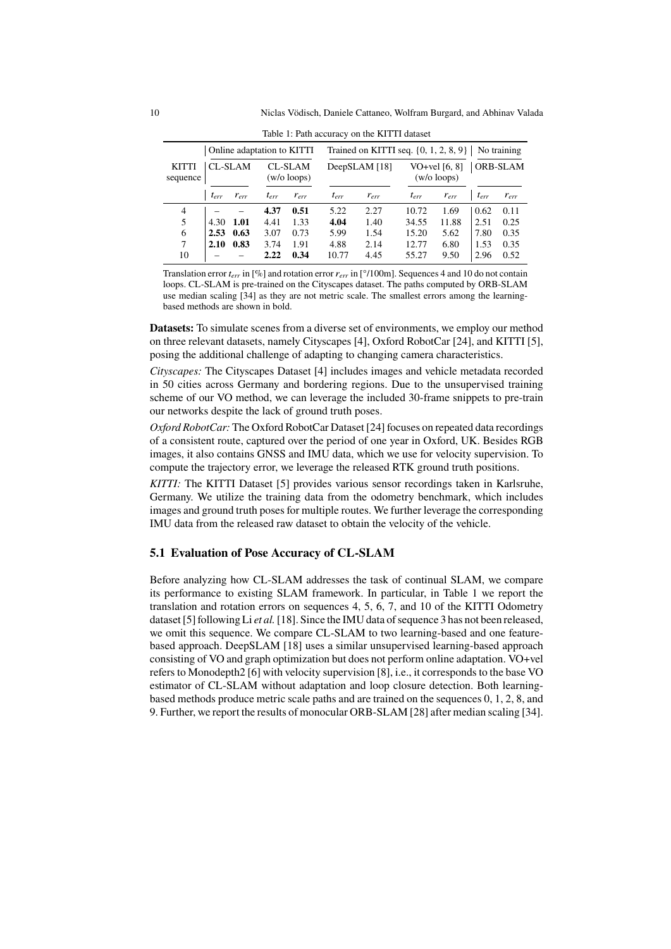| Table 1. I am accuracy on the KITTI dataset |           |           |                                 |                                                       |               |           |                                  |           |                 |           |
|---------------------------------------------|-----------|-----------|---------------------------------|-------------------------------------------------------|---------------|-----------|----------------------------------|-----------|-----------------|-----------|
| Online adaptation to KITTI                  |           |           |                                 | Trained on KITTI seq. $\{0, 1, 2, 8, 9\}$ No training |               |           |                                  |           |                 |           |
| <b>CL-SLAM</b><br><b>KITTI</b><br>sequence  |           |           | <b>CL-SLAM</b><br>$(w/o$ loops) |                                                       | DeepSLAM [18] |           | VO+vel $[6, 8]$<br>$(w/o$ loops) |           | <b>ORB-SLAM</b> |           |
|                                             | $t_{err}$ | $r_{err}$ | $t_{err}$                       | $r_{err}$                                             | $t_{err}$     | $r_{err}$ | $t_{err}$                        | $r_{err}$ | $t_{err}$       | $r_{err}$ |
| 4                                           |           |           | 4.37                            | 0.51                                                  | 5.22          | 2.27      | 10.72                            | 1.69      | 0.62            | 0.11      |
| 5                                           | 4.30      | 1.01      | 4.41                            | 1.33                                                  | 4.04          | 1.40      | 34.55                            | 11.88     | 2.51            | 0.25      |
| 6                                           | 2.53      | 0.63      | 3.07                            | 0.73                                                  | 5.99          | 1.54      | 15.20                            | 5.62      | 7.80            | 0.35      |
| 7                                           | 2.10      | 0.83      | 3.74                            | 1.91                                                  | 4.88          | 2.14      | 12.77                            | 6.80      | 1.53            | 0.35      |
| 10                                          |           |           | 2.22                            | 0.34                                                  | 10.77         | 4.45      | 55.27                            | 9.50      | 2.96            | 0.52      |

<span id="page-9-0"></span>Table 1: Path accuracy on the KITTI dataset

Translation error *err* in [%] and rotation error *err* in [°/100m]. Sequences 4 and 10 do not contain loops. CL-SLAM is pre-trained on the Cityscapes dataset. The paths computed by ORB-SLAM use median scaling [\[34\]](#page-15-11) as they are not metric scale. The smallest errors among the learningbased methods are shown in bold.

**Datasets:** To simulate scenes from a diverse set of environments, we employ our method on three relevant datasets, namely Cityscapes [\[4\]](#page-14-6), Oxford RobotCar [\[24\]](#page-15-26), and KITTI [\[5\]](#page-14-4), posing the additional challenge of adapting to changing camera characteristics.

*Cityscapes:* The Cityscapes Dataset [\[4\]](#page-14-6) includes images and vehicle metadata recorded in 50 cities across Germany and bordering regions. Due to the unsupervised training scheme of our VO method, we can leverage the included 30-frame snippets to pre-train our networks despite the lack of ground truth poses.

*Oxford RobotCar:* The Oxford RobotCar Dataset [\[24\]](#page-15-26) focuses on repeated data recordings of a consistent route, captured over the period of one year in Oxford, UK. Besides RGB images, it also contains GNSS and IMU data, which we use for velocity supervision. To compute the trajectory error, we leverage the released RTK ground truth positions.

*KITTI:* The KITTI Dataset [\[5\]](#page-14-4) provides various sensor recordings taken in Karlsruhe, Germany. We utilize the training data from the odometry benchmark, which includes images and ground truth poses for multiple routes. We further leverage the corresponding IMU data from the released raw dataset to obtain the velocity of the vehicle.

## **5.1 Evaluation of Pose Accuracy of CL-SLAM**

Before analyzing how CL-SLAM addresses the task of continual SLAM, we compare its performance to existing SLAM framework. In particular, in Table [1](#page-9-0) we report the translation and rotation errors on sequences 4, 5, 6, 7, and 10 of the KITTI Odometry dataset [\[5\]](#page-14-4) following Li *et al.*[\[18\]](#page-15-3). Since the IMU data of sequence 3 has not been released, we omit this sequence. We compare CL-SLAM to two learning-based and one featurebased approach. DeepSLAM [\[18\]](#page-15-3) uses a similar unsupervised learning-based approach consisting of VO and graph optimization but does not perform online adaptation. VO+vel refers to Monodepth2 [\[6\]](#page-14-2) with velocity supervision [\[8\]](#page-15-13), i.e., it corresponds to the base VO estimator of CL-SLAM without adaptation and loop closure detection. Both learningbased methods produce metric scale paths and are trained on the sequences 0, 1, 2, 8, and 9. Further, we report the results of monocular ORB-SLAM [\[28\]](#page-15-2) after median scaling [\[34\]](#page-15-11).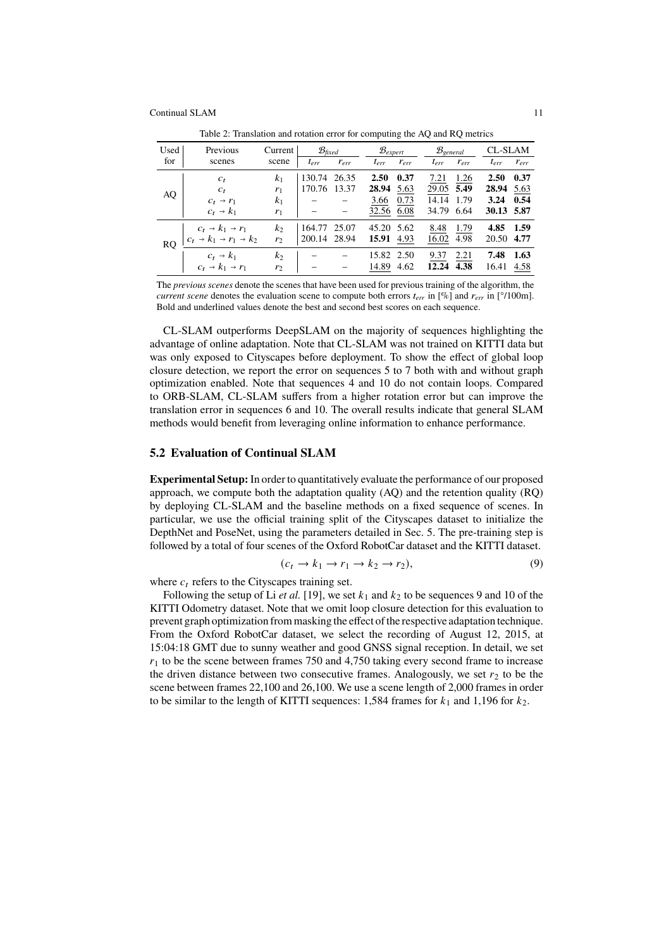| Used | Previous                                              | Current        | $\mathcal{B}_{\text{fixed}}$ |           | $B_{expert}$ |           | $B_{general}$ |           | CL-SLAM    |           |
|------|-------------------------------------------------------|----------------|------------------------------|-----------|--------------|-----------|---------------|-----------|------------|-----------|
| for  | scenes                                                | scene          | $t_{err}$                    | $r_{err}$ | $t_{err}$    | $r_{err}$ | $t_{err}$     | $r_{err}$ | $t_{err}$  | $r_{err}$ |
|      | $c_t$                                                 | k <sub>1</sub> | 130.74 26.35                 |           | 2.50         | 0.37      | 7.21          | 1.26      | 2.50       | 0.37      |
|      | $c_t$                                                 | $r_1$          | 170.76 13.37                 |           | 28.94        | 5.63      | 29.05         | 5.49      | 28.94      | 5.63      |
| AQ   | $c_t \rightarrow r_1$                                 | $k_1$          |                              |           | 3.66         | 0.73      | 14.14         | 1.79      | 3.24       | 0.54      |
|      | $c_t \rightarrow k_1$                                 | $r_1$          |                              |           | 32.56 6.08   |           | 34.79         | 6.64      | 30.13 5.87 |           |
|      | $c_t \rightarrow k_1 \rightarrow r_1$                 | $k_2$          | 164.77                       | 25.07     | 45.20 5.62   |           | 8.48          | 1.79      | 4.85       | 1.59      |
| RO.  | $c_t \rightarrow k_1 \rightarrow r_1 \rightarrow k_2$ | r <sub>2</sub> | 200.14 28.94                 |           | 15.91        | 4.93      | 16.02         | 4.98      | 20.50      | 4.77      |
|      | $c_t \rightarrow k_1$                                 | k <sub>2</sub> |                              |           | 15.82 2.50   |           | 9.37          | 2.21      | 7.48       | 1.63      |
|      | $c_t \rightarrow k_1 \rightarrow r_1$                 | r <sub>2</sub> |                              |           | 14.89        | 4.62      | 12.24         | 4.38      | 16.41      | 4.58      |

<span id="page-10-1"></span>Table 2: Translation and rotation error for computing the AO and RO metrics

The *previous scenes* denote the scenes that have been used for previous training of the algorithm, the *current scene* denotes the evaluation scene to compute both errors  $t_{err}$  in [%] and  $r_{err}$  in [°/100m]. Bold and underlined values denote the best and second best scores on each sequence.

CL-SLAM outperforms DeepSLAM on the majority of sequences highlighting the advantage of online adaptation. Note that CL-SLAM was not trained on KITTI data but was only exposed to Cityscapes before deployment. To show the effect of global loop closure detection, we report the error on sequences 5 to 7 both with and without graph optimization enabled. Note that sequences 4 and 10 do not contain loops. Compared to ORB-SLAM, CL-SLAM suffers from a higher rotation error but can improve the translation error in sequences 6 and 10. The overall results indicate that general SLAM methods would benefit from leveraging online information to enhance performance.

## **5.2 Evaluation of Continual SLAM**

**Experimental Setup:** In order to quantitatively evaluate the performance of our proposed approach, we compute both the adaptation quality (AQ) and the retention quality (RQ) by deploying CL-SLAM and the baseline methods on a fixed sequence of scenes. In particular, we use the official training split of the Cityscapes dataset to initialize the DepthNet and PoseNet, using the parameters detailed in Sec. [5.](#page-8-0) The pre-training step is followed by a total of four scenes of the Oxford RobotCar dataset and the KITTI dataset.

<span id="page-10-0"></span>
$$
(c_t \to k_1 \to r_1 \to k_2 \to r_2), \tag{9}
$$

where  $c_t$  refers to the Cityscapes training set.

Following the setup of Li *et al.* [\[19\]](#page-15-8), we set  $k_1$  and  $k_2$  to be sequences 9 and 10 of the KITTI Odometry dataset. Note that we omit loop closure detection for this evaluation to prevent graph optimization from masking the effect of the respective adaptation technique. From the Oxford RobotCar dataset, we select the recording of August 12, 2015, at 15:04:18 GMT due to sunny weather and good GNSS signal reception. In detail, we set  $r_1$  to be the scene between frames 750 and 4.750 taking every second frame to increase the driven distance between two consecutive frames. Analogously, we set  $r<sub>2</sub>$  to be the scene between frames 22,100 and 26,100. We use a scene length of 2,000 frames in order to be similar to the length of KITTI sequences: 1,584 frames for  $k_1$  and 1,196 for  $k_2$ .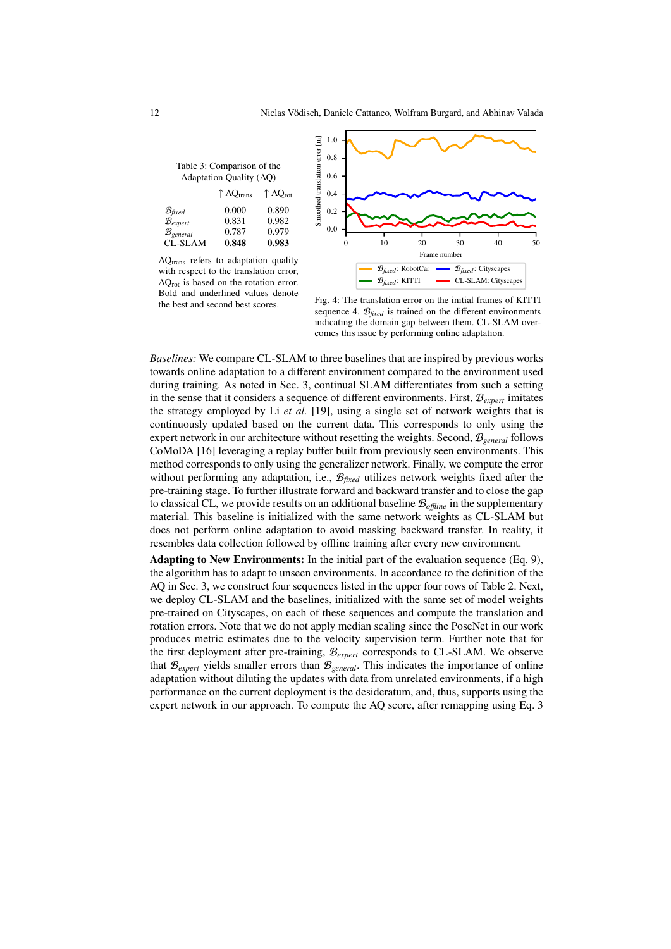<span id="page-11-0"></span>Table 3: Comparison of the Adaptation Quality (AQ)

|                                                               | 1.44                           |                              |
|---------------------------------------------------------------|--------------------------------|------------------------------|
|                                                               | $\uparrow$ AQ <sub>trans</sub> | $\uparrow$ AQ <sub>rot</sub> |
| $\mathcal{B}_{\text{fixed}}$<br>$B_{expert}$<br>$B_{general}$ | 0.000<br>0.831<br>0.787        | 0.890<br>0.982<br>0.979      |
| CL-SLAM                                                       | 0.848                          | 0.983                        |

AQtrans refers to adaptation quality with respect to the translation error, AQrot is based on the rotation error. Bold and underlined values denote the best and second best scores.



<span id="page-11-1"></span>Fig. 4: The translation error on the initial frames of KITTI sequence 4.  $\mathcal{B}_{\text{fixed}}$  is trained on the different environments indicating the domain gap between them. CL-SLAM overcomes this issue by performing online adaptation.

*Baselines:* We compare CL-SLAM to three baselines that are inspired by previous works towards online adaptation to a different environment compared to the environment used during training. As noted in Sec. [3,](#page-3-0) continual SLAM differentiates from such a setting in the sense that it considers a sequence of different environments. First, B*expert* imitates the strategy employed by Li *et al.* [\[19\]](#page-15-8), using a single set of network weights that is continuously updated based on the current data. This corresponds to only using the expert network in our architecture without resetting the weights. Second, B*general* follows CoMoDA [\[16\]](#page-15-14) leveraging a replay buffer built from previously seen environments. This method corresponds to only using the generalizer network. Finally, we compute the error without performing any adaptation, i.e.,  $\mathcal{B}_{\text{fixed}}$  utilizes network weights fixed after the pre-training stage. To further illustrate forward and backward transfer and to close the gap to classical CL, we provide results on an additional baseline B*offline* in the supplementary material. This baseline is initialized with the same network weights as CL-SLAM but does not perform online adaptation to avoid masking backward transfer. In reality, it resembles data collection followed by offline training after every new environment.

**Adapting to New Environments:** In the initial part of the evaluation sequence (Eq. [9\)](#page-10-0), the algorithm has to adapt to unseen environments. In accordance to the definition of the AQ in Sec. [3,](#page-3-1) we construct four sequences listed in the upper four rows of Table [2.](#page-10-1) Next, we deploy CL-SLAM and the baselines, initialized with the same set of model weights pre-trained on Cityscapes, on each of these sequences and compute the translation and rotation errors. Note that we do not apply median scaling since the PoseNet in our work produces metric estimates due to the velocity supervision term. Further note that for the first deployment after pre-training, B*expert* corresponds to CL-SLAM. We observe that B*expert* yields smaller errors than B*general*. This indicates the importance of online adaptation without diluting the updates with data from unrelated environments, if a high performance on the current deployment is the desideratum, and, thus, supports using the expert network in our approach. To compute the AQ score, after remapping using Eq. [3](#page-4-0)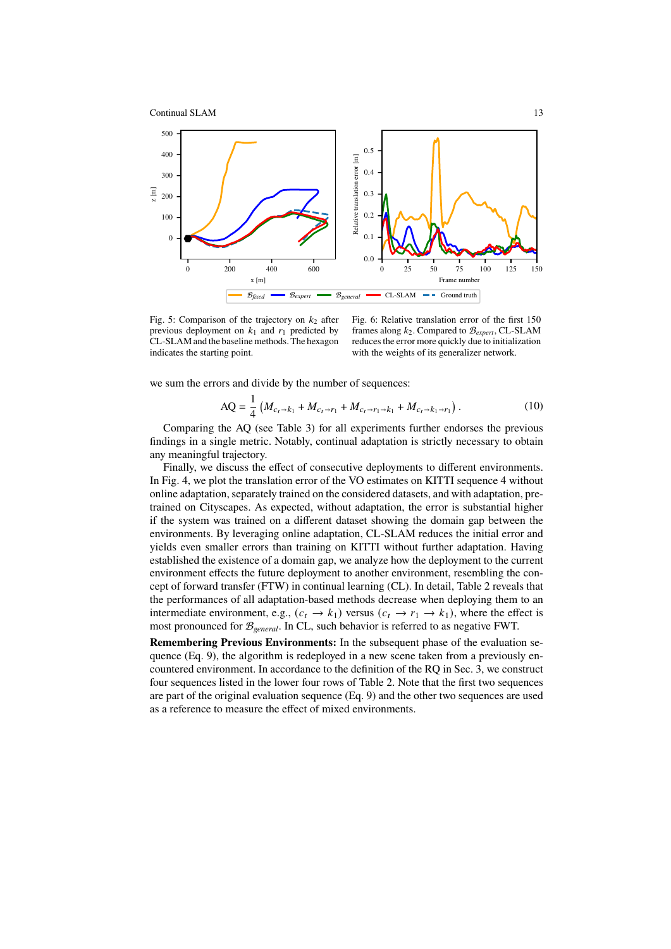



<span id="page-12-0"></span>Fig. 5: Comparison of the trajectory on  $k_2$  after previous deployment on  $k_1$  and  $r_1$  predicted by CL-SLAM and the baseline methods. The hexagon indicates the starting point.

<span id="page-12-1"></span>Fig. 6: Relative translation error of the first 150 frames along  $k_2$ . Compared to  $\mathcal{B}_{expert}$ , CL-SLAM reduces the error more quickly due to initialization with the weights of its generalizer network.

we sum the errors and divide by the number of sequences:

$$
AQ = \frac{1}{4} \left( M_{c_t \to k_1} + M_{c_t \to r_1} + M_{c_t \to r_1 \to k_1} + M_{c_t \to k_1 \to r_1} \right). \tag{10}
$$

Comparing the AQ (see Table [3\)](#page-11-0) for all experiments further endorses the previous findings in a single metric. Notably, continual adaptation is strictly necessary to obtain any meaningful trajectory.

Finally, we discuss the effect of consecutive deployments to different environments. In Fig. [4,](#page-11-1) we plot the translation error of the VO estimates on KITTI sequence 4 without online adaptation, separately trained on the considered datasets, and with adaptation, pretrained on Cityscapes. As expected, without adaptation, the error is substantial higher if the system was trained on a different dataset showing the domain gap between the environments. By leveraging online adaptation, CL-SLAM reduces the initial error and yields even smaller errors than training on KITTI without further adaptation. Having established the existence of a domain gap, we analyze how the deployment to the current environment effects the future deployment to another environment, resembling the concept of forward transfer (FTW) in continual learning (CL). In detail, Table [2](#page-10-1) reveals that the performances of all adaptation-based methods decrease when deploying them to an intermediate environment, e.g.,  $(c_t \rightarrow k_1)$  versus  $(c_t \rightarrow r_1 \rightarrow k_1)$ , where the effect is most pronounced for B*general*. In CL, such behavior is referred to as negative FWT.

**Remembering Previous Environments:** In the subsequent phase of the evaluation sequence (Eq. [9\)](#page-10-0), the algorithm is redeployed in a new scene taken from a previously encountered environment. In accordance to the definition of the RQ in Sec. [3,](#page-3-1) we construct four sequences listed in the lower four rows of Table [2.](#page-10-1) Note that the first two sequences are part of the original evaluation sequence (Eq. [9\)](#page-10-0) and the other two sequences are used as a reference to measure the effect of mixed environments.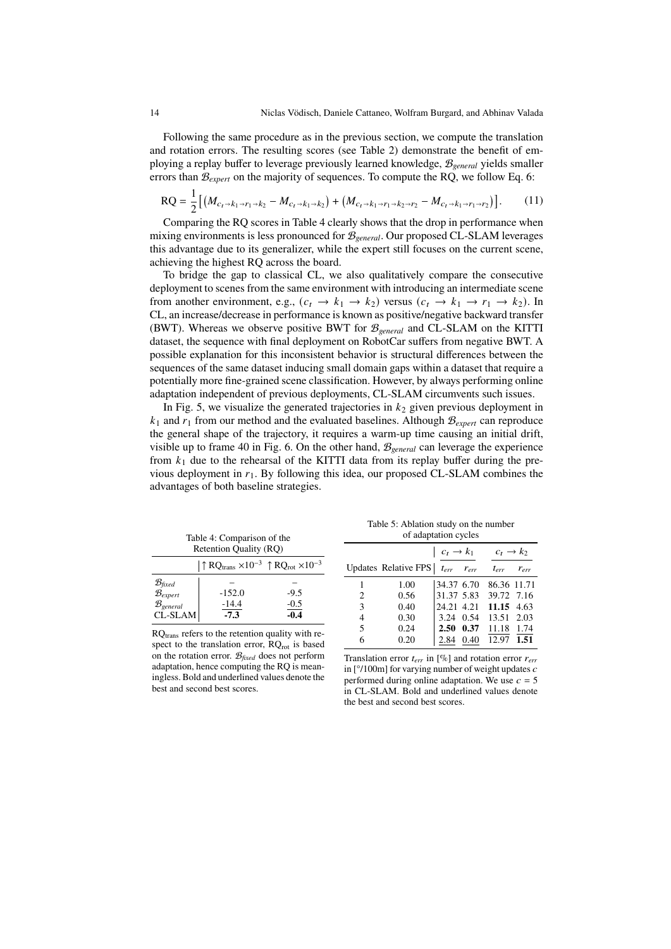Following the same procedure as in the previous section, we compute the translation and rotation errors. The resulting scores (see Table [2\)](#page-10-1) demonstrate the benefit of employing a replay buffer to leverage previously learned knowledge, B*general* yields smaller errors than  $B_{\ell x \ell t}$  on the majority of sequences. To compute the RQ, we follow Eq. 6:

$$
RQ = \frac{1}{2} \left[ \left( M_{c_t \to k_1 \to r_1 \to k_2} - M_{c_t \to k_1 \to k_2} \right) + \left( M_{c_t \to k_1 \to r_1 \to k_2 \to r_2} - M_{c_t \to k_1 \to r_1 \to r_2} \right) \right].
$$
 (11)

Comparing the RQ scores in Table [4](#page-13-1) clearly shows that the drop in performance when mixing environments is less pronounced for B*general*. Our proposed CL-SLAM leverages this advantage due to its generalizer, while the expert still focuses on the current scene, achieving the highest RQ across the board.

To bridge the gap to classical CL, we also qualitatively compare the consecutive deployment to scenes from the same environment with introducing an intermediate scene from another environment, e.g.,  $(c_t \rightarrow k_1 \rightarrow k_2)$  versus  $(c_t \rightarrow k_1 \rightarrow r_1 \rightarrow k_2)$ . In CL, an increase/decrease in performance is known as positive/negative backward transfer (BWT). Whereas we observe positive BWT for B*general* and CL-SLAM on the KITTI dataset, the sequence with final deployment on RobotCar suffers from negative BWT. A possible explanation for this inconsistent behavior is structural differences between the sequences of the same dataset inducing small domain gaps within a dataset that require a potentially more fine-grained scene classification. However, by always performing online adaptation independent of previous deployments, CL-SLAM circumvents such issues.

In Fig. [5,](#page-12-0) we visualize the generated trajectories in  $k_2$  given previous deployment in  $k_1$  and  $r_1$  from our method and the evaluated baselines. Although  $B_{expert}$  can reproduce the general shape of the trajectory, it requires a warm-up time causing an initial drift, visible up to frame 40 in Fig. [6.](#page-12-1) On the other hand, B*general* can leverage the experience from  $k_1$  due to the rehearsal of the KITTI data from its replay buffer during the previous deployment in  $r_1$ . By following this idea, our proposed CL-SLAM combines the advantages of both baseline strategies.

<span id="page-13-1"></span>

|                                                    | Table 4: Comparison of the |                                                                                               | Table 5: Ablation study on the number<br>of adaptation cycles |                      |                     |                                             |                        |           |
|----------------------------------------------------|----------------------------|-----------------------------------------------------------------------------------------------|---------------------------------------------------------------|----------------------|---------------------|---------------------------------------------|------------------------|-----------|
| Retention Quality (RQ)                             |                            |                                                                                               |                                                               |                      |                     | $c_t \rightarrow k_1$ $c_t \rightarrow k_2$ |                        |           |
|                                                    |                            | $\uparrow$ RQ <sub>trans</sub> $\times 10^{-3}$ $\uparrow$ RQ <sub>rot</sub> $\times 10^{-3}$ |                                                               | Updates Relative FPS | $t_{err}$ $r_{err}$ |                                             | $t_{err}$              | $r_{err}$ |
| B <sub>fixed</sub><br>B <sub>expert</sub>          |                            |                                                                                               |                                                               | 1.00                 |                     |                                             | 34.37 6.70 86.36 11.71 |           |
|                                                    | $-152.0$                   | $-9.5$                                                                                        | 2                                                             | 0.56                 |                     |                                             | 31.37 5.83 39.72 7.16  |           |
| $\mathcal{B}_{general}$                            | $\frac{-14.4}{-7.3}$       | $\frac{-0.5}{-0.4}$                                                                           | $\mathcal{R}$                                                 | 0.40                 |                     |                                             | 24.21 4.21 11.15 4.63  |           |
| CL-SLAM                                            |                            |                                                                                               | 4                                                             | 0.30                 |                     |                                             | 3.24 0.54 13.51 2.03   |           |
| $RQtrans$ refers to the retention quality with re- |                            |                                                                                               |                                                               | 0.24                 | $2.50 \quad 0.37$   |                                             | 11.18 1.74             |           |
|                                                    |                            | $\sim$ . The distribution of the second $\sim$ 0.000 $\sim$ 1.000 $\sim$ 1.000 $\sim$         |                                                               | 0.20                 |                     | 2.84 0.40                                   | 12.97 1.51             |           |

RQ<sub>trans</sub> refers to the retention quality with respect to the translation error,  $RQ_{\text{rot}}$  is based on the rotation error. B*fixed* does not perform adaptation, hence computing the RQ is meaningless. Bold and underlined values denote the best and second best scores.

<span id="page-13-0"></span>Translation error  $t_{err}$  in [%] and rotation error  $r_{err}$ in  $[°/100m]$  for varying number of weight updates  $c$ performed during online adaptation. We use  $c = 5$ in CL-SLAM. Bold and underlined values denote the best and second best scores.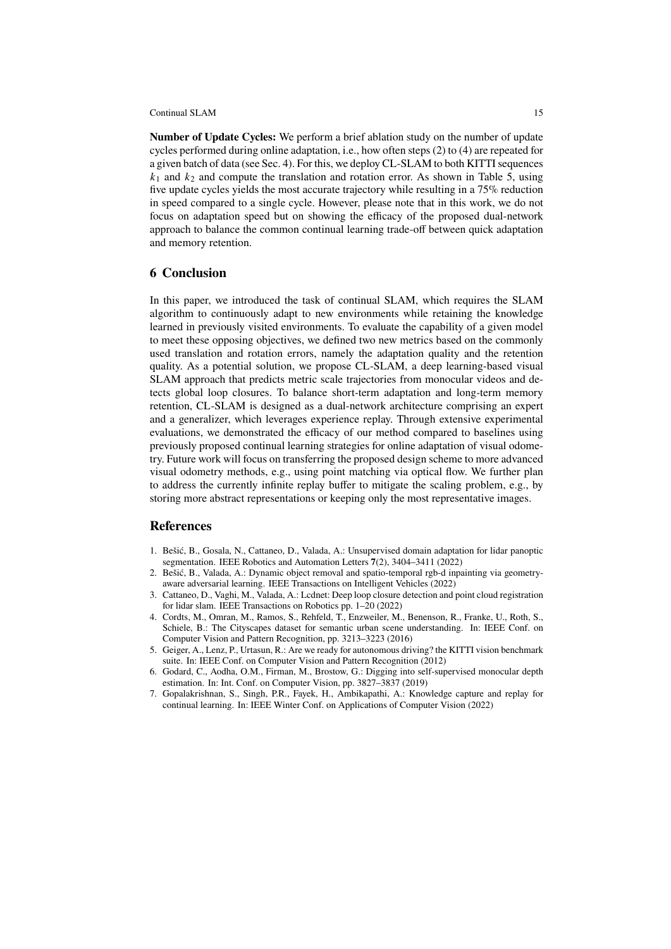**Number of Update Cycles:** We perform a brief ablation study on the number of update cycles performed during online adaptation, i.e., how often steps (2) to (4) are repeated for a given batch of data (see Sec. [4\)](#page-7-0). For this, we deploy CL-SLAM to both KITTI sequences  $k_1$  and  $k_2$  and compute the translation and rotation error. As shown in Table [5,](#page-13-0) using five update cycles yields the most accurate trajectory while resulting in a 75% reduction in speed compared to a single cycle. However, please note that in this work, we do not focus on adaptation speed but on showing the efficacy of the proposed dual-network approach to balance the common continual learning trade-off between quick adaptation and memory retention.

#### **6 Conclusion**

In this paper, we introduced the task of continual SLAM, which requires the SLAM algorithm to continuously adapt to new environments while retaining the knowledge learned in previously visited environments. To evaluate the capability of a given model to meet these opposing objectives, we defined two new metrics based on the commonly used translation and rotation errors, namely the adaptation quality and the retention quality. As a potential solution, we propose CL-SLAM, a deep learning-based visual SLAM approach that predicts metric scale trajectories from monocular videos and detects global loop closures. To balance short-term adaptation and long-term memory retention, CL-SLAM is designed as a dual-network architecture comprising an expert and a generalizer, which leverages experience replay. Through extensive experimental evaluations, we demonstrated the efficacy of our method compared to baselines using previously proposed continual learning strategies for online adaptation of visual odometry. Future work will focus on transferring the proposed design scheme to more advanced visual odometry methods, e.g., using point matching via optical flow. We further plan to address the currently infinite replay buffer to mitigate the scaling problem, e.g., by storing more abstract representations or keeping only the most representative images.

#### **References**

- <span id="page-14-1"></span>1. Bešić, B., Gosala, N., Cattaneo, D., Valada, A.: Unsupervised domain adaptation for lidar panoptic segmentation. IEEE Robotics and Automation Letters **7**(2), 3404–3411 (2022)
- <span id="page-14-5"></span>2. Bešić, B., Valada, A.: Dynamic object removal and spatio-temporal rgb-d inpainting via geometryaware adversarial learning. IEEE Transactions on Intelligent Vehicles (2022)
- <span id="page-14-0"></span>3. Cattaneo, D., Vaghi, M., Valada, A.: Lcdnet: Deep loop closure detection and point cloud registration for lidar slam. IEEE Transactions on Robotics pp. 1–20 (2022)
- <span id="page-14-6"></span>4. Cordts, M., Omran, M., Ramos, S., Rehfeld, T., Enzweiler, M., Benenson, R., Franke, U., Roth, S., Schiele, B.: The Cityscapes dataset for semantic urban scene understanding. In: IEEE Conf. on Computer Vision and Pattern Recognition, pp. 3213–3223 (2016)
- <span id="page-14-4"></span>5. Geiger, A., Lenz, P., Urtasun, R.: Are we ready for autonomous driving? the KITTI vision benchmark suite. In: IEEE Conf. on Computer Vision and Pattern Recognition (2012)
- <span id="page-14-2"></span>6. Godard, C., Aodha, O.M., Firman, M., Brostow, G.: Digging into self-supervised monocular depth estimation. In: Int. Conf. on Computer Vision, pp. 3827–3837 (2019)
- <span id="page-14-3"></span>7. Gopalakrishnan, S., Singh, P.R., Fayek, H., Ambikapathi, A.ȷ Knowledge capture and replay for continual learning. In: IEEE Winter Conf. on Applications of Computer Vision (2022)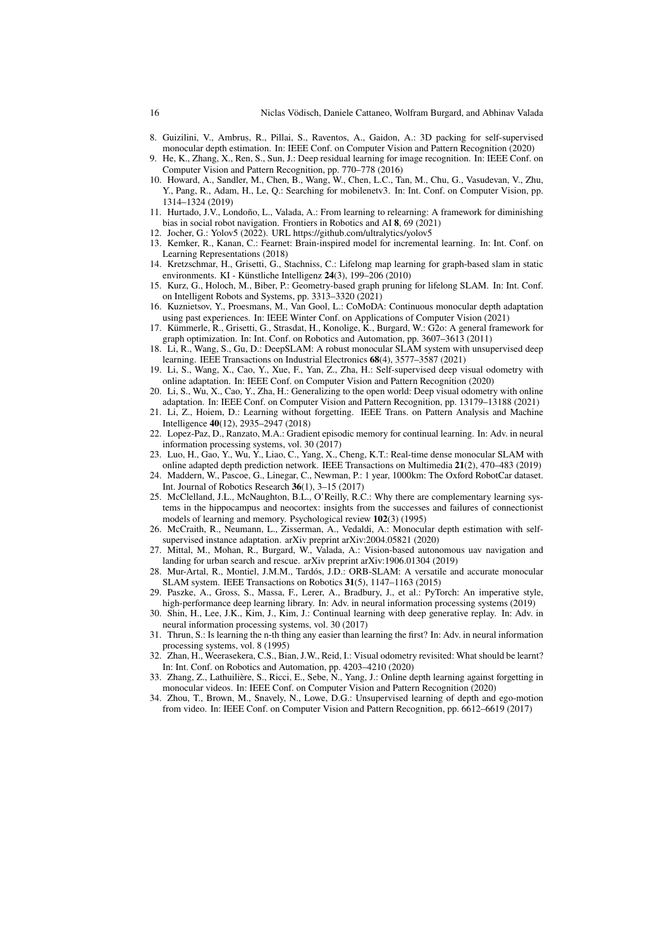- <span id="page-15-13"></span>8. Guizilini, V., Ambruș, R., Pillai, S., Raventos, A., Gaidon, A.: 3D packing for self-supervised monocular depth estimation. In: IEEE Conf. on Computer Vision and Pattern Recognition (2020)
- <span id="page-15-22"></span>9. He, K., Zhang, X., Ren, S., Sun, J.: Deep residual learning for image recognition. In: IEEE Conf. on Computer Vision and Pattern Recognition, pp. 770–778 (2016)
- <span id="page-15-20"></span>10. Howard, A., Sandler, M., Chen, B., Wang, W., Chen, L.C., Tan, M., Chu, G., Vasudevan, V., Zhu, Y., Pang, R., Adam, H., Le, Q.: Searching for mobilenetv3. In: Int. Conf. on Computer Vision, pp. 1314–1324 (2019)
- <span id="page-15-0"></span>11. Hurtado, J.V., Londoño, L., Valada, A.: From learning to relearning: A framework for diminishing bias in social robot navigation. Frontiers in Robotics and AI **8**, 69 (2021)
- <span id="page-15-24"></span>12. Jocher, G.: Yolov5 (2022). URL https://github.com/ultralytics/yolov5
- <span id="page-15-17"></span>13. Kemker, R., Kanan, C.: Fearnet: Brain-inspired model for incremental learning. In: Int. Conf. on Learning Representations (2018)
- <span id="page-15-5"></span>14. Kretzschmar, H., Grisetti, G., Stachniss, C.: Lifelong map learning for graph-based slam in static environments. KI - Künstliche Intelligenz **24**(3), 199–206 (2010)
- <span id="page-15-6"></span>15. Kurz, G., Holoch, M., Biber, P.: Geometry-based graph pruning for lifelong SLAM. In: Int. Conf. on Intelligent Robots and Systems, pp. 3313–3320 (2021)
- <span id="page-15-14"></span>16. Kuznietsov, Y., Proesmans, M., Van Gool, L.: CoMoDA: Continuous monocular depth adaptation using past experiences. In: IEEE Winter Conf. on Applications of Computer Vision (2021)
- <span id="page-15-21"></span>17. Kümmerle, R., Grisetti, G., Strasdat, H., Konolige, K., Burgard, W.: G2o: A general framework for graph optimization. In: Int. Conf. on Robotics and Automation, pp. 3607-3613 (2011)
- <span id="page-15-3"></span>18. Li, R., Wang, S., Gu, D.: DeepSLAM: A robust monocular SLAM system with unsupervised deep learning. IEEE Transactions on Industrial Electronics **68**(4), 3577–3587 (2021)
- <span id="page-15-8"></span>19. Li, S., Wang, X., Cao, Y., Xue, F., Yan, Z., Zha, H.ȷ Self-supervised deep visual odometry with online adaptation. In: IEEE Conf. on Computer Vision and Pattern Recognition (2020)
- <span id="page-15-9"></span>20. Li, S., Wu, X., Cao, Y., Zha, H.: Generalizing to the open world: Deep visual odometry with online adaptation. In: IEEE Conf. on Computer Vision and Pattern Recognition, pp. 13179-13188 (2021)
- <span id="page-15-16"></span>21. Li, Z., Hoiem, D.ȷ Learning without forgetting. IEEE Trans. on Pattern Analysis and Machine Intelligence **40**(12), 2935–2947 (2018)
- <span id="page-15-19"></span>22. Lopez-Paz, D., Ranzato, M.A.: Gradient episodic memory for continual learning. In: Adv. in neural information processing systems, vol. 30 (2017)
- <span id="page-15-10"></span>23. Luo, H., Gao, Y., Wu, Y., Liao, C., Yang, X., Cheng, K.T.: Real-time dense monocular SLAM with online adapted depth prediction network. IEEE Transactions on Multimedia **21**(2), 470–483 (2019)
- <span id="page-15-26"></span>24. Maddern, W., Pascoe, G., Linegar, C., Newman, P.: 1 year, 1000km: The Oxford RobotCar dataset. Int. Journal of Robotics Research **36**(1), 3–15 (2017)
- <span id="page-15-18"></span>25. McClelland, J.L., McNaughton, B.L., O'Reilly, R.C.: Why there are complementary learning systems in the hippocampus and neocortex: insights from the successes and failures of connectionist models of learning and memory. Psychological review **102**(3) (1995)
- <span id="page-15-25"></span>26. McCraith, R., Neumann, L., Zisserman, A., Vedaldi, A.: Monocular depth estimation with selfsupervised instance adaptation. arXiv preprint arXiv:2004.05821 (2020)
- <span id="page-15-1"></span>27. Mittal, M., Mohan, R., Burgard, W., Valada, A.: Vision-based autonomous uav navigation and landing for urban search and rescue. arXiv preprint arXiv:1906.01304 (2019)
- <span id="page-15-2"></span>28. Mur-Artal, R., Montiel, J.M.M., Tardós, J.D.: ORB-SLAM: A versatile and accurate monocular SLAM system. IEEE Transactions on Robotics **31**(5), 1147–1163 (2015)
- <span id="page-15-23"></span>29. Paszke, A., Gross, S., Massa, F., Lerer, A., Bradbury, J., et al.: PyTorch: An imperative style, high-performance deep learning library. In: Adv. in neural information processing systems (2019)
- <span id="page-15-15"></span>30. Shin, H., Lee, J.K., Kim, J., Kim, J.: Continual learning with deep generative replay. In: Adv. in neural information processing systems, vol. 30 (2017)
- <span id="page-15-4"></span>31. Thrun, S.: Is learning the n-th thing any easier than learning the first? In: Adv. in neural information processing systems, vol. 8 (1995)
- <span id="page-15-12"></span>32. Zhan, H., Weerasekera, C.S., Bian, J.W., Reid, I.: Visual odometry revisited: What should be learnt? In: Int. Conf. on Robotics and Automation, pp. 4203-4210 (2020)
- <span id="page-15-7"></span>33. Zhang, Z., Lathuilière, S., Ricci, E., Sebe, N., Yang, J.: Online depth learning against forgetting in monocular videos. In: IEEE Conf. on Computer Vision and Pattern Recognition (2020)
- <span id="page-15-11"></span>34. Zhou, T., Brown, M., Snavely, N., Lowe, D.G.: Unsupervised learning of depth and ego-motion from video. In: IEEE Conf. on Computer Vision and Pattern Recognition, pp. 6612–6619 (2017)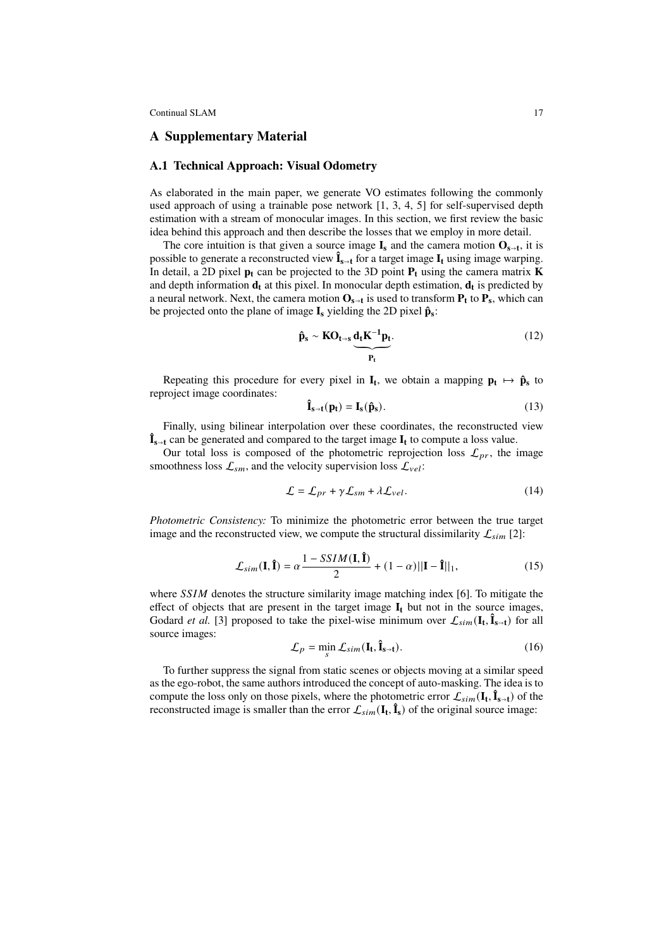## **A Supplementary Material**

#### **A.1 Technical Approach: Visual Odometry**

As elaborated in the main paper, we generate VO estimates following the commonly used approach of using a trainable pose network [\[1,](#page-18-0) [3,](#page-18-1) [4,](#page-18-2) [5\]](#page-18-3) for self-supervised depth estimation with a stream of monocular images. In this section, we first review the basic idea behind this approach and then describe the losses that we employ in more detail.

The core intuition is that given a source image  $I_s$  and the camera motion  $O_{s \to t}$ , it is possible to generate a reconstructed view  $\hat{\mathbf{I}}_{s \to t}$  for a target image  $\mathbf{I}_t$  using image warping. In detail, a 2D pixel  $p_t$  can be projected to the 3D point  $P_t$  using the camera matrix **K** and depth information **d<sup>t</sup>** at this pixel. In monocular depth estimation, **d<sup>t</sup>** is predicted by a neural network. Next, the camera motion  $O_{s \to t}$  is used to transform  $P_t$  to  $P_s$ , which can be projected onto the plane of image **I<sup>s</sup>** yielding the 2D pixel **pˆ<sup>s</sup>** ȷ

$$
\hat{\mathbf{p}}_{s} \sim \mathbf{KO}_{t \to s} \underbrace{\mathbf{d}_{t} \mathbf{K}^{-1} \mathbf{p}_{t}}_{\mathbf{P}_{t}}.
$$
\n(12)

Repeating this procedure for every pixel in  $I_t$ , we obtain a mapping  $p_t \mapsto \hat{p}_s$  to reproject image coordinates:

$$
\hat{\mathbf{I}}_{s \to t}(\mathbf{p}_t) = \mathbf{I}_s(\hat{\mathbf{p}}_s). \tag{13}
$$

Finally, using bilinear interpolation over these coordinates, the reconstructed view  $\mathbf{\hat{I}}_{s \to t}$  can be generated and compared to the target image  $\mathbf{I}_t$  to compute a loss value.

Our total loss is composed of the photometric reprojection loss  $\mathcal{L}_{pr}$ , the image smoothness loss  $\mathcal{L}_{sm}$ , and the velocity supervision loss  $\mathcal{L}_{vel}$ :

$$
\mathcal{L} = \mathcal{L}_{pr} + \gamma \mathcal{L}_{sm} + \lambda \mathcal{L}_{vel}.
$$
 (14)

*Photometric Consistency:* To minimize the photometric error between the true target image and the reconstructed view, we compute the structural dissimilarity  $\mathcal{L}_{sim}$  [\[2\]](#page-18-4):

$$
\mathcal{L}_{sim}(\mathbf{I}, \hat{\mathbf{I}}) = \alpha \frac{1 - SSIM(\mathbf{I}, \hat{\mathbf{I}})}{2} + (1 - \alpha) ||\mathbf{I} - \hat{\mathbf{I}}||_1,
$$
(15)

where  $SSIM$  denotes the structure similarity image matching index [\[6\]](#page-18-5). To mitigate the effect of objects that are present in the target image  $I_t$  but not in the source images, Godard *et al.* [\[3\]](#page-18-1) proposed to take the pixel-wise minimum over  $\mathcal{L}_{sim}(\mathbf{I}_{t}, \hat{\mathbf{I}}_{s+t})$  for all source images:

$$
\mathcal{L}_p = \min_{s} \mathcal{L}_{sim}(\mathbf{I_t}, \mathbf{\hat{I}_{s-t}}). \tag{16}
$$

To further suppress the signal from static scenes or objects moving at a similar speed as the ego-robot, the same authors introduced the concept of auto-masking. The idea is to compute the loss only on those pixels, where the photometric error  $\mathcal{L}_{sim}(\mathbf{I_t}, \mathbf{\hat{I}_{s+t}})$  of the reconstructed image is smaller than the error  $\mathcal{L}_{sim}(\mathbf{I}_{t}, \hat{\mathbf{I}}_{s})$  of the original source image: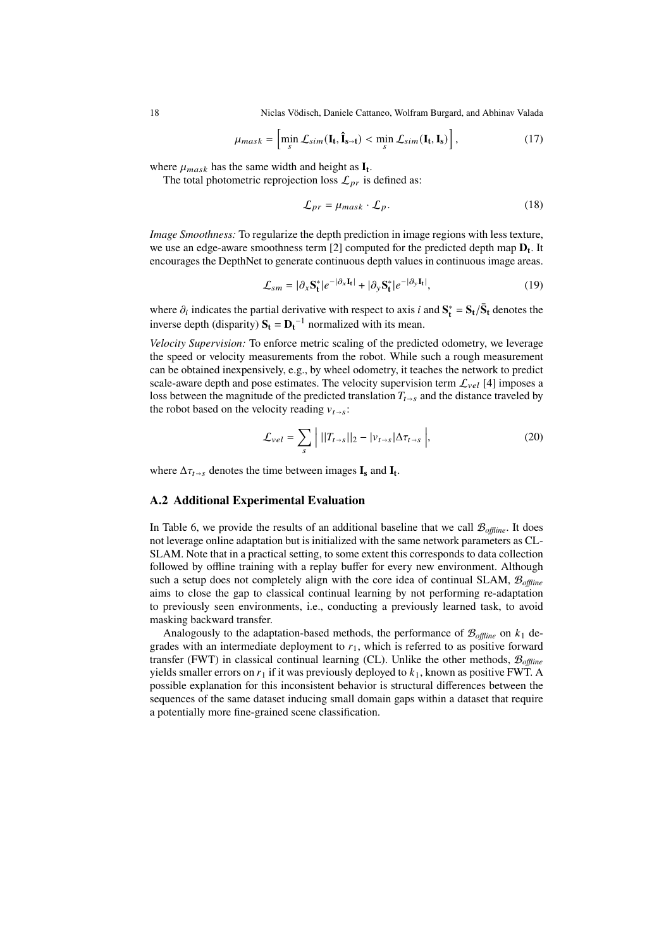18 Niclas Vödisch, Daniele Cattaneo, Wolfram Burgard, and Abhinav Valada

$$
\mu_{mask} = \left[ \min_{s} \mathcal{L}_{sim}(\mathbf{I}_{t}, \hat{\mathbf{I}}_{s \to t}) < \min_{s} \mathcal{L}_{sim}(\mathbf{I}_{t}, \mathbf{I}_{s}) \right],\tag{17}
$$

where  $\mu_{mask}$  has the same width and height as  $\mathbf{I_t}$ .

The total photometric reprojection loss  $\mathcal{L}_{pr}$  is defined as:

$$
\mathcal{L}_{pr} = \mu_{mask} \cdot \mathcal{L}_p. \tag{18}
$$

*Image Smoothness:* To regularize the depth prediction in image regions with less texture, we use an edge-aware smoothness term [\[2\]](#page-18-4) computed for the predicted depth map **D<sup>t</sup>** . It encourages the DepthNet to generate continuous depth values in continuous image areas.

$$
\mathcal{L}_{sm} = |\partial_x \mathbf{S}_t^*| e^{-|\partial_x \mathbf{I}_t|} + |\partial_y \mathbf{S}_t^*| e^{-|\partial_y \mathbf{I}_t|}, \tag{19}
$$

where  $\partial_i$  indicates the partial derivative with respect to axis *i* and  $S_t^* = S_t/\bar{S}_t$  denotes the inverse depth (disparity)  $S_t = D_t^{-1}$  normalized with its mean.

*Velocity Supervision:* To enforce metric scaling of the predicted odometry, we leverage the speed or velocity measurements from the robot. While such a rough measurement can be obtained inexpensively, e.g., by wheel odometry, it teaches the network to predict scale-aware depth and pose estimates. The velocity supervision term  $\mathcal{L}_{vel}$  [\[4\]](#page-18-2) imposes a loss between the magnitude of the predicted translation  $T_{t\rightarrow s}$  and the distance traveled by the robot based on the velocity reading  $v_{t\rightarrow s}$ :

$$
\mathcal{L}_{vel} = \sum_{s} \left| \left| |T_{t \to s}| \right|_{2} - \left| v_{t \to s} \right| \Delta \tau_{t \to s} \right|, \tag{20}
$$

where  $\Delta \tau_{t \to s}$  denotes the time between images  $\mathbf{I}_s$  and  $\mathbf{I}_t$ .

#### **A.2 Additional Experimental Evaluation**

In Table [6,](#page-18-6) we provide the results of an additional baseline that we call  $\mathcal{B}_{offline}$ . It does not leverage online adaptation but is initialized with the same network parameters as CL-SLAM. Note that in a practical setting, to some extent this corresponds to data collection followed by offline training with a replay buffer for every new environment. Although such a setup does not completely align with the core idea of continual SLAM, B*offline* aims to close the gap to classical continual learning by not performing re-adaptation to previously seen environments, i.e., conducting a previously learned task, to avoid masking backward transfer.

Analogously to the adaptation-based methods, the performance of  $\mathcal{B}_{offline}$  on  $k_1$  degrades with an intermediate deployment to  $r_1$ , which is referred to as positive forward transfer (FWT) in classical continual learning (CL). Unlike the other methods, B*offline* yields smaller errors on  $r_1$  if it was previously deployed to  $k_1$ , known as positive FWT. A possible explanation for this inconsistent behavior is structural differences between the sequences of the same dataset inducing small domain gaps within a dataset that require a potentially more fine-grained scene classification.